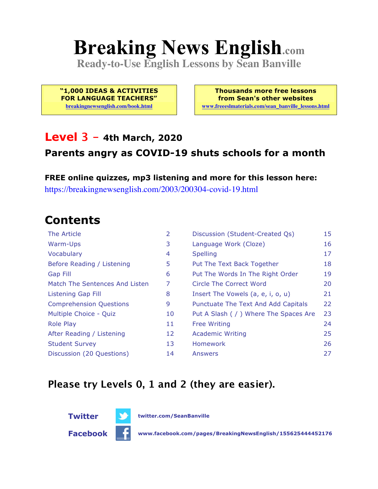# **Breaking News English.com**

**Ready-to-Use English Lessons by Sean Banville**

**"1,000 IDEAS & ACTIVITIES FOR LANGUAGE TEACHERS"**

**breakingnewsenglish.com/book.html**

**Thousands more free lessons from Sean's other websites www.freeeslmaterials.com/sean\_banville\_lessons.html**

#### **Level 3 - 4th March, 2020**

#### **Parents angry as COVID-19 shuts schools for a month**

**FREE online quizzes, mp3 listening and more for this lesson here:** https://breakingnewsenglish.com/2003/200304-covid-19.html

#### **Contents**

| The Article                    | 2  | Discussion (Student-Created Qs)        | 15 |
|--------------------------------|----|----------------------------------------|----|
| Warm-Ups                       | 3  | Language Work (Cloze)                  | 16 |
| Vocabulary                     | 4  | <b>Spelling</b>                        | 17 |
| Before Reading / Listening     | 5  | Put The Text Back Together             | 18 |
| <b>Gap Fill</b>                | 6  | Put The Words In The Right Order       | 19 |
| Match The Sentences And Listen | 7  | Circle The Correct Word                | 20 |
| Listening Gap Fill             | 8  | Insert The Vowels (a, e, i, o, u)      | 21 |
| <b>Comprehension Questions</b> | 9  | Punctuate The Text And Add Capitals    | 22 |
| Multiple Choice - Quiz         | 10 | Put A Slash ( / ) Where The Spaces Are | 23 |
| <b>Role Play</b>               | 11 | <b>Free Writing</b>                    | 24 |
| After Reading / Listening      | 12 | <b>Academic Writing</b>                | 25 |
| <b>Student Survey</b>          | 13 | Homework                               | 26 |
| Discussion (20 Questions)      | 14 | Answers                                | 27 |

#### **Please try Levels 0, 1 and 2 (they are easier).**

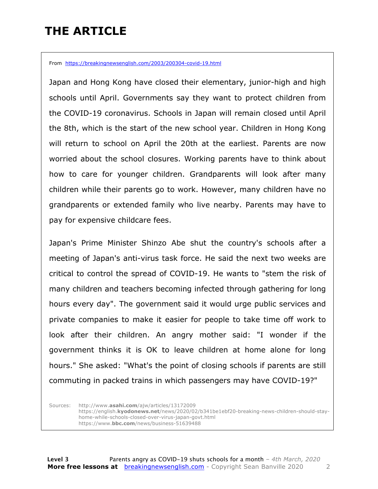### **THE ARTICLE**

From https://breakingnewsenglish.com/2003/200304-covid-19.html

Japan and Hong Kong have closed their elementary, junior-high and high schools until April. Governments say they want to protect children from the COVID-19 coronavirus. Schools in Japan will remain closed until April the 8th, which is the start of the new school year. Children in Hong Kong will return to school on April the 20th at the earliest. Parents are now worried about the school closures. Working parents have to think about how to care for younger children. Grandparents will look after many children while their parents go to work. However, many children have no grandparents or extended family who live nearby. Parents may have to pay for expensive childcare fees.

Japan's Prime Minister Shinzo Abe shut the country's schools after a meeting of Japan's anti-virus task force. He said the next two weeks are critical to control the spread of COVID-19. He wants to "stem the risk of many children and teachers becoming infected through gathering for long hours every day". The government said it would urge public services and private companies to make it easier for people to take time off work to look after their children. An angry mother said: "I wonder if the government thinks it is OK to leave children at home alone for long hours." She asked: "What's the point of closing schools if parents are still commuting in packed trains in which passengers may have COVID-19?"

Sources: http://www.**asahi.com**/ajw/articles/13172009 https://english.**kyodonews.net**/news/2020/02/b341be1ebf20-breaking-news-children-should-stayhome-while-schools-closed-over-virus-japan-govt.html https://www.**bbc.com**/news/business-51639488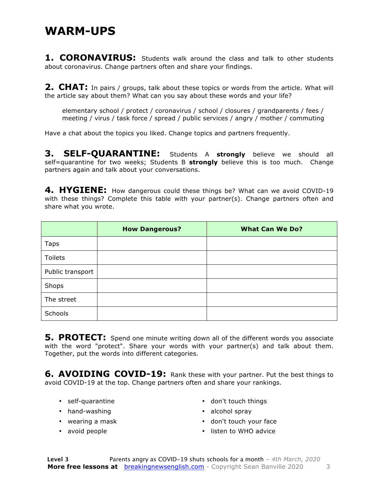#### **WARM-UPS**

**1. CORONAVIRUS:** Students walk around the class and talk to other students about coronavirus. Change partners often and share your findings.

**2. CHAT:** In pairs / groups, talk about these topics or words from the article. What will the article say about them? What can you say about these words and your life?

elementary school / protect / coronavirus / school / closures / grandparents / fees / meeting / virus / task force / spread / public services / angry / mother / commuting

Have a chat about the topics you liked. Change topics and partners frequently.

**3. SELF-QUARANTINE:** Students A **strongly** believe we should all self=quarantine for two weeks; Students B **strongly** believe this is too much. Change partners again and talk about your conversations.

**4. HYGIENE:** How dangerous could these things be? What can we avoid COVID-19 with these things? Complete this table with your partner(s). Change partners often and share what you wrote.

|                  | <b>How Dangerous?</b> | <b>What Can We Do?</b> |
|------------------|-----------------------|------------------------|
| Taps             |                       |                        |
| Toilets          |                       |                        |
| Public transport |                       |                        |
| Shops            |                       |                        |
| The street       |                       |                        |
| Schools          |                       |                        |

**5. PROTECT:** Spend one minute writing down all of the different words you associate with the word "protect". Share your words with your partner(s) and talk about them. Together, put the words into different categories.

**6. AVOIDING COVID-19:** Rank these with your partner. Put the best things to avoid COVID-19 at the top. Change partners often and share your rankings.

- self-quarantine
- hand-washing
- wearing a mask
- avoid people
- don't touch things
- alcohol spray
- don't touch your face
- listen to WHO advice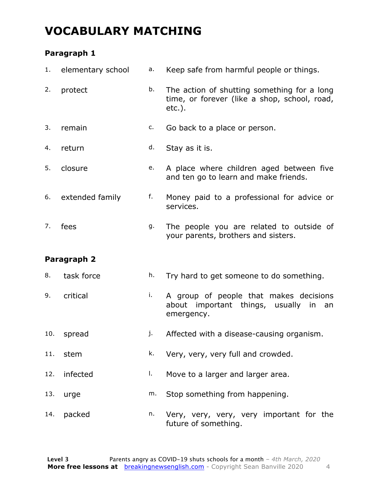### **VOCABULARY MATCHING**

#### **Paragraph 1**

| 1.  | elementary school | а. | Keep safe from harmful people or things.                                                                 |
|-----|-------------------|----|----------------------------------------------------------------------------------------------------------|
| 2.  | protect           | b. | The action of shutting something for a long<br>time, or forever (like a shop, school, road,<br>$etc.$ ). |
| 3.  | remain            | c. | Go back to a place or person.                                                                            |
| 4.  | return            | d. | Stay as it is.                                                                                           |
| 5.  | closure           | e. | A place where children aged between five<br>and ten go to learn and make friends.                        |
| 6.  | extended family   | f. | Money paid to a professional for advice or<br>services.                                                  |
| 7.  | fees              | g. | The people you are related to outside of<br>your parents, brothers and sisters.                          |
|     | Paragraph 2       |    |                                                                                                          |
| 8.  | task force        | h. | Try hard to get someone to do something.                                                                 |
| 9.  | critical          | i. | A group of people that makes decisions<br>about important things, usually<br>in<br>an<br>emergency.      |
| 10. | spread            | j. | Affected with a disease-causing organism.                                                                |
| 11. | stem              | k. | Very, very, very full and crowded.                                                                       |
| 12. | infected          | Ι. | Move to a larger and larger area.                                                                        |
| 13. | urge              | m. | Stop something from happening.                                                                           |
| 14. | packed            | n. | Very, very, very, very important for the<br>future of something.                                         |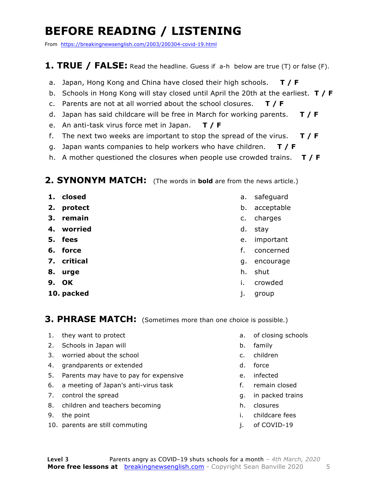### **BEFORE READING / LISTENING**

From https://breakingnewsenglish.com/2003/200304-covid-19.html

#### **1. TRUE / FALSE:** Read the headline. Guess if a-h below are true (T) or false (F).

- a. Japan, Hong Kong and China have closed their high schools. **T / F**
- b. Schools in Hong Kong will stay closed until April the 20th at the earliest. **T / F**
- c. Parents are not at all worried about the school closures. **T / F**
- d. Japan has said childcare will be free in March for working parents. **T / F**
- e. An anti-task virus force met in Japan. **T / F**
- f. The next two weeks are important to stop the spread of the virus. **T / F**
- g. Japan wants companies to help workers who have children. **T / F**
- h. A mother questioned the closures when people use crowded trains. **T / F**

#### **2. SYNONYM MATCH:** (The words in **bold** are from the news article.)

- **1. closed**
- **2. protect**
- **3. remain**
- **4. worried**
- **5. fees**
- **6. force**
- **7. critical**
- **8. urge**
- **9. OK**
- **10. packed**
- a. safeguard
- b. acceptable
- c. charges
- d. stay
- e. important
- f. concerned
- g. encourage
- h. shut
- i. crowded
- j. group

#### **3. PHRASE MATCH:** (Sometimes more than one choice is possible.)

- 1. they want to protect
- 2. Schools in Japan will
- 3. worried about the school
- 4. grandparents or extended
- 5. Parents may have to pay for expensive
- 6. a meeting of Japan's anti-virus task
- 7. control the spread
- 8. children and teachers becoming
- 9. the point
- 10. parents are still commuting
- a. of closing schools
- b. family
- c. children
- d. force
- e. infected
- f. remain closed
- g. in packed trains
- h. closures
- i. childcare fees
- j. of COVID-19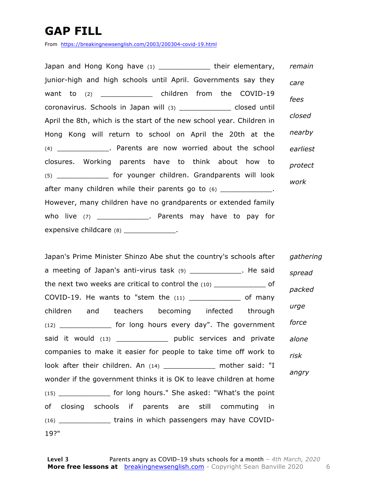### **GAP FILL**

From https://breakingnewsenglish.com/2003/200304-covid-19.html

Japan and Hong Kong have (1) The line of their elementary, junior-high and high schools until April. Governments say they want to (2) \_\_\_\_\_\_\_\_\_\_\_\_\_\_ children from the COVID-19 coronavirus. Schools in Japan will (3) \_\_\_\_\_\_\_\_\_\_\_\_ closed until April the 8th, which is the start of the new school year. Children in Hong Kong will return to school on April the 20th at the (4) \_\_\_\_\_\_\_\_\_\_\_\_. Parents are now worried about the school closures. Working parents have to think about how to (5) \_\_\_\_\_\_\_\_\_\_\_\_ for younger children. Grandparents will look after many children while their parents go to  $(6)$  \_\_\_\_\_\_\_\_\_\_\_\_. However, many children have no grandparents or extended family who live (7) \_\_\_\_\_\_\_\_\_\_\_\_\_. Parents may have to pay for expensive childcare (8) \_\_\_\_\_\_\_\_\_\_\_\_\_\_. *remain care fees closed nearby earliest protect work*

Japan's Prime Minister Shinzo Abe shut the country's schools after a meeting of Japan's anti-virus task (9) \_\_\_\_\_\_\_\_\_\_\_\_\_. He said the next two weeks are critical to control the (10) \_\_\_\_\_\_\_\_\_\_\_\_ of COVID-19. He wants to "stem the (11) \_\_\_\_\_\_\_\_\_\_\_\_ of many children and teachers becoming infected through (12) \_\_\_\_\_\_\_\_\_\_\_\_ for long hours every day". The government said it would (13) \_\_\_\_\_\_\_\_\_\_\_\_\_\_\_\_\_ public services and private companies to make it easier for people to take time off work to look after their children. An (14) \_\_\_\_\_\_\_\_\_\_\_\_\_ mother said: "I wonder if the government thinks it is OK to leave children at home (15) \_\_\_\_\_\_\_\_\_\_\_\_ for long hours." She asked: "What's the point of closing schools if parents are still commuting in (16) \_\_\_\_\_\_\_\_\_\_\_\_ trains in which passengers may have COVID-19?" *gathering spread packed urge force alone risk angry*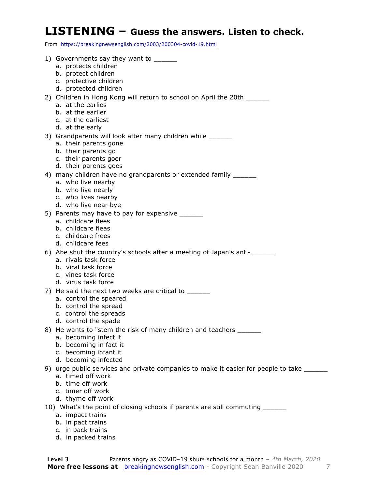#### **LISTENING – Guess the answers. Listen to check.**

From https://breakingnewsenglish.com/2003/200304-covid-19.html

- 1) Governments say they want to \_\_\_\_\_\_
	- a. protects children
	- b. protect children
	- c. protective children
	- d. protected children
- 2) Children in Hong Kong will return to school on April the 20th
	- a. at the earlies
	- b. at the earlier
	- c. at the earliest
	- d. at the early
- 3) Grandparents will look after many children while \_\_\_\_\_\_
	- a. their parents gone
	- b. their parents go
	- c. their parents goer
	- d. their parents goes
- 4) many children have no grandparents or extended family \_\_\_\_\_\_
	- a. who live nearby
	- b. who live nearly
	- c. who lives nearby
	- d. who live near bye
- 5) Parents may have to pay for expensive \_\_\_\_\_\_\_
	- a. childcare flees
	- b. childcare fleas
	- c. childcare frees
	- d. childcare fees
- 6) Abe shut the country's schools after a meeting of Japan's anti-\_\_\_\_\_\_
	- a. rivals task force
	- b. viral task force
	- c. vines task force
	- d. virus task force
- 7) He said the next two weeks are critical to
	- a. control the speared
	- b. control the spread
	- c. control the spreads
	- d. control the spade
- 8) He wants to "stem the risk of many children and teachers
	- a. becoming infect it
	- b. becoming in fact it
	- c. becoming infant it
	- d. becoming infected
- 9) urge public services and private companies to make it easier for people to take \_\_\_\_\_\_\_
	- a. timed off work
	- b. time off work
	- c. timer off work
	- d. thyme off work
- 10) What's the point of closing schools if parents are still commuting \_\_\_\_\_\_
	- a. impact trains
	- b. in pact trains
	- c. in pack trains
	- d. in packed trains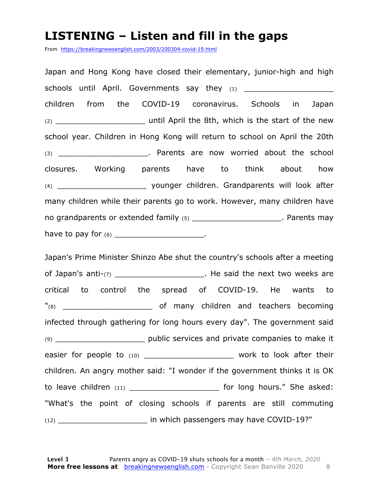#### **LISTENING – Listen and fill in the gaps**

From https://breakingnewsenglish.com/2003/200304-covid-19.html

Japan and Hong Kong have closed their elementary, junior-high and high schools until April. Governments say they (1) \_\_\_\_\_\_\_\_\_\_\_\_\_\_\_\_\_\_\_\_\_\_\_\_\_\_\_\_\_\_\_\_\_\_ children from the COVID-19 coronavirus. Schools in Japan (2) \_\_\_\_\_\_\_\_\_\_\_\_\_\_\_\_\_\_\_ until April the 8th, which is the start of the new school year. Children in Hong Kong will return to school on April the 20th (3) and the school of the school contracts are now worried about the school of the school closures. Working parents have to think about how (4) \_\_\_\_\_\_\_\_\_\_\_\_\_\_\_\_\_\_\_ younger children. Grandparents will look after many children while their parents go to work. However, many children have no grandparents or extended family (5) \_\_\_\_\_\_\_\_\_\_\_\_\_\_\_\_\_\_\_\_\_\_. Parents may have to pay for  $(6)$  \_\_\_\_\_\_\_\_\_\_\_\_\_\_\_\_\_\_\_\_\_\_\_.

Japan's Prime Minister Shinzo Abe shut the country's schools after a meeting of Japan's anti- $(7)$  \_\_\_\_\_\_\_\_\_\_\_\_\_\_\_\_\_\_\_\_\_. He said the next two weeks are critical to control the spread of COVID-19. He wants to "(8) complete the many children and teachers becoming infected through gathering for long hours every day". The government said (9) \_\_\_\_\_\_\_\_\_\_\_\_\_\_\_\_\_\_\_ public services and private companies to make it easier for people to (10) \_\_\_\_\_\_\_\_\_\_\_\_\_\_\_\_\_\_\_\_\_\_\_\_ work to look after their children. An angry mother said: "I wonder if the government thinks it is OK to leave children  $(11)$  \_\_\_\_\_\_\_\_\_\_\_\_\_\_\_\_\_\_\_\_\_\_\_\_\_\_\_\_\_\_\_ for long hours." She asked: "What's the point of closing schools if parents are still commuting (12) \_\_\_\_\_\_\_\_\_\_\_\_\_\_\_\_\_\_\_ in which passengers may have COVID-19?"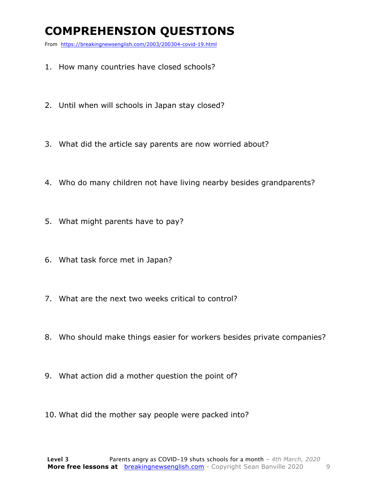### **COMPREHENSION QUESTIONS**

From https://breakingnewsenglish.com/2003/200304-covid-19.html

- 1. How many countries have closed schools?
- 2. Until when will schools in Japan stay closed?
- 3. What did the article say parents are now worried about?
- 4. Who do many children not have living nearby besides grandparents?
- 5. What might parents have to pay?
- 6. What task force met in Japan?
- 7. What are the next two weeks critical to control?
- 8. Who should make things easier for workers besides private companies?
- 9. What action did a mother question the point of?
- 10. What did the mother say people were packed into?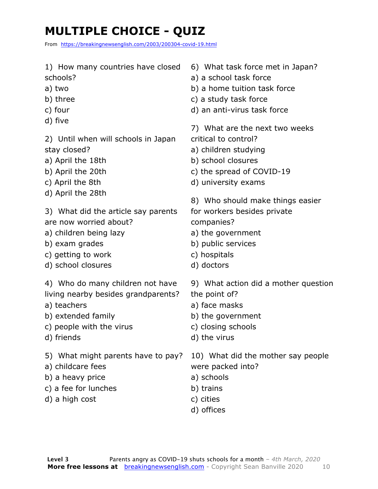# **MULTIPLE CHOICE - QUIZ**

From https://breakingnewsenglish.com/2003/200304-covid-19.html

1) How many countries have closed schools? a) two b) three c) four d) five 2) Until when will schools in Japan stay closed? a) April the 18th b) April the 20th c) April the 8th d) April the 28th 3) What did the article say parents are now worried about? a) children being lazy b) exam grades c) getting to work d) school closures 4) Who do many children not have living nearby besides grandparents? a) teachers b) extended family c) people with the virus d) friends 5) What might parents have to pay? a) childcare fees b) a heavy price c) a fee for lunches d) a high cost 6) What task force met in Japan? a) a school task force b) a home tuition task force c) a study task force d) an anti-virus task force 7) What are the next two weeks critical to control? a) children studying b) school closures c) the spread of COVID-19 d) university exams 8) Who should make things easier for workers besides private companies? a) the government b) public services c) hospitals d) doctors 9) What action did a mother question the point of? a) face masks b) the government c) closing schools d) the virus 10) What did the mother say people were packed into? a) schools b) trains c) cities d) offices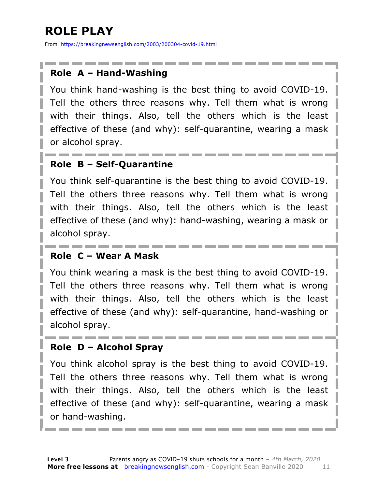# **ROLE PLAY**

From https://breakingnewsenglish.com/2003/200304-covid-19.html

#### **Role A – Hand-Washing**

You think hand-washing is the best thing to avoid COVID-19. Tell the others three reasons why. Tell them what is wrong with their things. Also, tell the others which is the least effective of these (and why): self-quarantine, wearing a mask or alcohol spray.

#### **Role B – Self-Quarantine**

You think self-quarantine is the best thing to avoid COVID-19. Tell the others three reasons why. Tell them what is wrong with their things. Also, tell the others which is the least effective of these (and why): hand-washing, wearing a mask or alcohol spray.

#### **Role C – Wear A Mask**

You think wearing a mask is the best thing to avoid COVID-19. Tell the others three reasons why. Tell them what is wrong with their things. Also, tell the others which is the least effective of these (and why): self-quarantine, hand-washing or alcohol spray.

#### **Role D – Alcohol Spray**

You think alcohol spray is the best thing to avoid COVID-19. Tell the others three reasons why. Tell them what is wrong with their things. Also, tell the others which is the least effective of these (and why): self-quarantine, wearing a mask or hand-washing.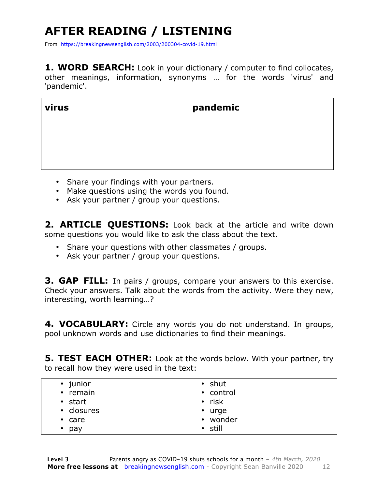# **AFTER READING / LISTENING**

From https://breakingnewsenglish.com/2003/200304-covid-19.html

**1. WORD SEARCH:** Look in your dictionary / computer to find collocates, other meanings, information, synonyms … for the words 'virus' and 'pandemic'.

| virus | pandemic |
|-------|----------|
|       |          |
|       |          |
|       |          |

- Share your findings with your partners.
- Make questions using the words you found.
- Ask your partner / group your questions.

**2. ARTICLE QUESTIONS:** Look back at the article and write down some questions you would like to ask the class about the text.

- Share your questions with other classmates / groups.
- Ask your partner / group your questions.

**3. GAP FILL:** In pairs / groups, compare your answers to this exercise. Check your answers. Talk about the words from the activity. Were they new, interesting, worth learning…?

**4. VOCABULARY:** Circle any words you do not understand. In groups, pool unknown words and use dictionaries to find their meanings.

**5. TEST EACH OTHER:** Look at the words below. With your partner, try to recall how they were used in the text:

| • junior<br>• remain  | $\cdot$ shut<br>• control<br>$\cdot$ risk |
|-----------------------|-------------------------------------------|
| • start<br>• closures | $\cdot$ urge                              |
| $\cdot$ care          | • wonder                                  |
| pay<br>$\bullet$      | $\cdot$ still                             |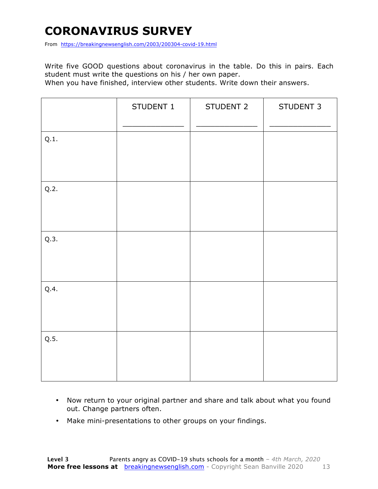### **CORONAVIRUS SURVEY**

From https://breakingnewsenglish.com/2003/200304-covid-19.html

Write five GOOD questions about coronavirus in the table. Do this in pairs. Each student must write the questions on his / her own paper.

When you have finished, interview other students. Write down their answers.

|      | STUDENT 1 | STUDENT 2 | STUDENT 3 |
|------|-----------|-----------|-----------|
| Q.1. |           |           |           |
| Q.2. |           |           |           |
| Q.3. |           |           |           |
| Q.4. |           |           |           |
| Q.5. |           |           |           |

- Now return to your original partner and share and talk about what you found out. Change partners often.
- Make mini-presentations to other groups on your findings.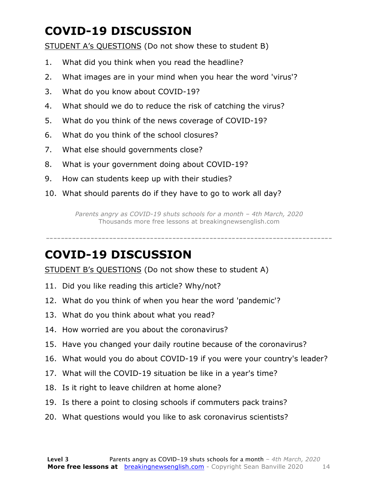### **COVID-19 DISCUSSION**

STUDENT A's QUESTIONS (Do not show these to student B)

- 1. What did you think when you read the headline?
- 2. What images are in your mind when you hear the word 'virus'?
- 3. What do you know about COVID-19?
- 4. What should we do to reduce the risk of catching the virus?
- 5. What do you think of the news coverage of COVID-19?
- 6. What do you think of the school closures?
- 7. What else should governments close?
- 8. What is your government doing about COVID-19?
- 9. How can students keep up with their studies?
- 10. What should parents do if they have to go to work all day?

*Parents angry as COVID-19 shuts schools for a month – 4th March, 2020* Thousands more free lessons at breakingnewsenglish.com

-----------------------------------------------------------------------------

#### **COVID-19 DISCUSSION**

STUDENT B's QUESTIONS (Do not show these to student A)

- 11. Did you like reading this article? Why/not?
- 12. What do you think of when you hear the word 'pandemic'?
- 13. What do you think about what you read?
- 14. How worried are you about the coronavirus?
- 15. Have you changed your daily routine because of the coronavirus?
- 16. What would you do about COVID-19 if you were your country's leader?
- 17. What will the COVID-19 situation be like in a year's time?
- 18. Is it right to leave children at home alone?
- 19. Is there a point to closing schools if commuters pack trains?
- 20. What questions would you like to ask coronavirus scientists?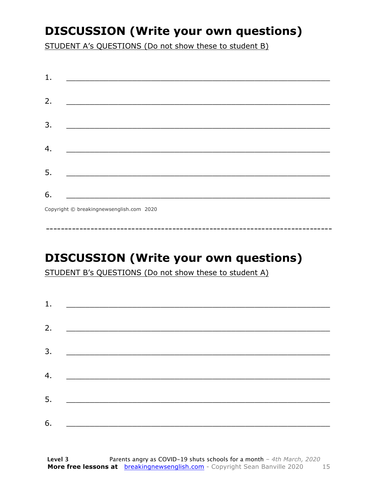### **DISCUSSION (Write your own questions)**

STUDENT A's QUESTIONS (Do not show these to student B)

| 1. |                                                                                                                          |
|----|--------------------------------------------------------------------------------------------------------------------------|
| 2. |                                                                                                                          |
|    | <u> 1989 - Johann John Stone, mars et al. (b. 1989)</u>                                                                  |
| 3. | <u> 1980 - Johann John Stone, mensk politik (d. 1980)</u>                                                                |
|    |                                                                                                                          |
| 4. |                                                                                                                          |
| 5. | <u> 1980 - Johann John Stone, markin fan it fjort fan it fjort fan it fjort fan it fjort fan it fjort fan it fjort f</u> |
|    |                                                                                                                          |
| 6. | <u> 1989 - Johann Barbara, martxa alemani</u> ar arte                                                                    |
|    | $Convriath \odot hraskinanawsanalich com 2020$                                                                           |

Copyright © breakingnewsenglish.com 2020

### **DISCUSSION (Write your own questions)**

STUDENT B's QUESTIONS (Do not show these to student A)

| 1. |                                                                                                                         |  |  |
|----|-------------------------------------------------------------------------------------------------------------------------|--|--|
|    |                                                                                                                         |  |  |
| 2. | <u> 1980 - Andrea Stationer, fransk politiker (d. 1980)</u>                                                             |  |  |
| 3. |                                                                                                                         |  |  |
|    |                                                                                                                         |  |  |
| 4. | <u> 1980 - Jan Samuel Barbara, margaret eta idazlea (h. 1980).</u>                                                      |  |  |
| 5. | <u> 1986 - Johann Stoff, deutscher Stoffen und der Stoffen und der Stoffen und der Stoffen und der Stoffen und der </u> |  |  |
|    |                                                                                                                         |  |  |
| 6. | <u> 1989 - Johann John Stone, market fan it ferskearre fan it ferskearre fan it ferskearre fan it ferskearre fan i</u>  |  |  |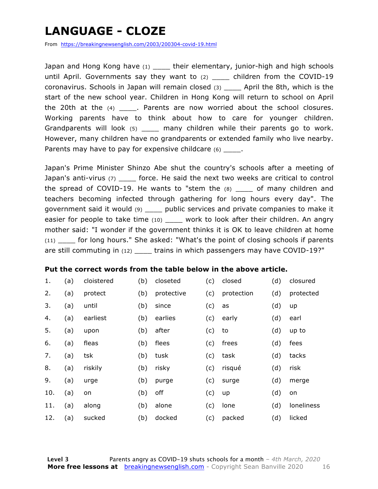### **LANGUAGE - CLOZE**

From https://breakingnewsenglish.com/2003/200304-covid-19.html

Japan and Hong Kong have (1) Linds their elementary, junior-high and high schools until April. Governments say they want to  $(2)$  \_\_\_\_ children from the COVID-19 coronavirus. Schools in Japan will remain closed (3) \_\_\_\_ April the 8th, which is the start of the new school year. Children in Hong Kong will return to school on April the 20th at the  $(4)$  \_\_\_\_\_. Parents are now worried about the school closures. Working parents have to think about how to care for younger children. Grandparents will look (5) and many children while their parents go to work. However, many children have no grandparents or extended family who live nearby. Parents may have to pay for expensive childcare (6) \_\_\_\_\_.

Japan's Prime Minister Shinzo Abe shut the country's schools after a meeting of Japan's anti-virus (7) \_\_\_\_ force. He said the next two weeks are critical to control the spread of COVID-19. He wants to "stem the  $(8)$  of many children and teachers becoming infected through gathering for long hours every day". The government said it would (9) \_\_\_\_ public services and private companies to make it easier for people to take time (10) work to look after their children. An angry mother said: "I wonder if the government thinks it is OK to leave children at home (11) \_\_\_\_ for long hours." She asked: "What's the point of closing schools if parents are still commuting in (12) \_\_\_\_\_ trains in which passengers may have COVID-19?"

#### **Put the correct words from the table below in the above article.**

| 1.  | (a) | cloistered | (b) | closeted   | (c) | closed     | (d) | closured   |
|-----|-----|------------|-----|------------|-----|------------|-----|------------|
| 2.  | (a) | protect    | (b) | protective | (c) | protection | (d) | protected  |
| 3.  | (a) | until      | (b) | since      | (c) | as         | (d) | up         |
| 4.  | (a) | earliest   | (b) | earlies    | (c) | early      | (d) | earl       |
| 5.  | (a) | upon       | (b) | after      | (c) | to         | (d) | up to      |
| 6.  | (a) | fleas      | (b) | flees      | (c) | frees      | (d) | fees       |
| 7.  | (a) | tsk        | (b) | tusk       | (c) | task       | (d) | tacks      |
| 8.  | (a) | riskily    | (b) | risky      | (c) | risqué     | (d) | risk       |
| 9.  | (a) | urge       | (b) | purge      | (c) | surge      | (d) | merge      |
| 10. | (a) | on         | (b) | off        | (c) | up         | (d) | on         |
| 11. | (a) | along      | (b) | alone      | (c) | lone       | (d) | loneliness |
| 12. | (a) | sucked     | (b) | docked     | (c) | packed     | (d) | licked     |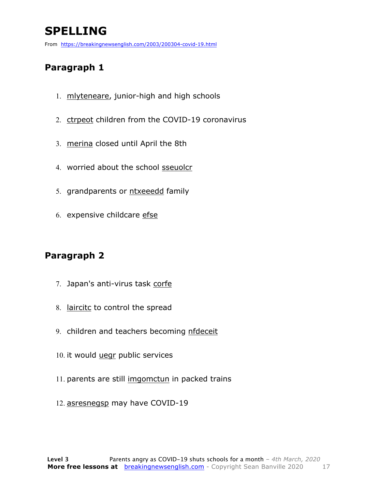## **SPELLING**

From https://breakingnewsenglish.com/2003/200304-covid-19.html

#### **Paragraph 1**

- 1. mlyteneare, junior-high and high schools
- 2. ctrpeot children from the COVID-19 coronavirus
- 3. merina closed until April the 8th
- 4. worried about the school sseuolcr
- 5. grandparents or ntxeeedd family
- 6. expensive childcare efse

#### **Paragraph 2**

- 7. Japan's anti-virus task corfe
- 8. laircitc to control the spread
- 9. children and teachers becoming nfdeceit
- 10. it would uegr public services
- 11. parents are still imgomctun in packed trains
- 12. asresnegsp may have COVID-19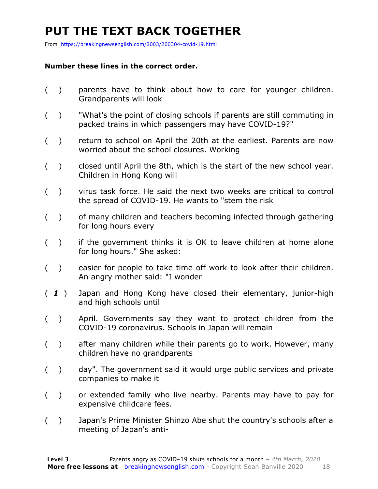### **PUT THE TEXT BACK TOGETHER**

From https://breakingnewsenglish.com/2003/200304-covid-19.html

#### **Number these lines in the correct order.**

- ( ) parents have to think about how to care for younger children. Grandparents will look
- ( ) "What's the point of closing schools if parents are still commuting in packed trains in which passengers may have COVID-19?"
- ( ) return to school on April the 20th at the earliest. Parents are now worried about the school closures. Working
- ( ) closed until April the 8th, which is the start of the new school year. Children in Hong Kong will
- ( ) virus task force. He said the next two weeks are critical to control the spread of COVID-19. He wants to "stem the risk
- ( ) of many children and teachers becoming infected through gathering for long hours every
- ( ) if the government thinks it is OK to leave children at home alone for long hours." She asked:
- ( ) easier for people to take time off work to look after their children. An angry mother said: "I wonder
- ( *1* ) Japan and Hong Kong have closed their elementary, junior-high and high schools until
- ( ) April. Governments say they want to protect children from the COVID-19 coronavirus. Schools in Japan will remain
- ( ) after many children while their parents go to work. However, many children have no grandparents
- ( ) day". The government said it would urge public services and private companies to make it
- ( ) or extended family who live nearby. Parents may have to pay for expensive childcare fees.
- ( ) Japan's Prime Minister Shinzo Abe shut the country's schools after a meeting of Japan's anti-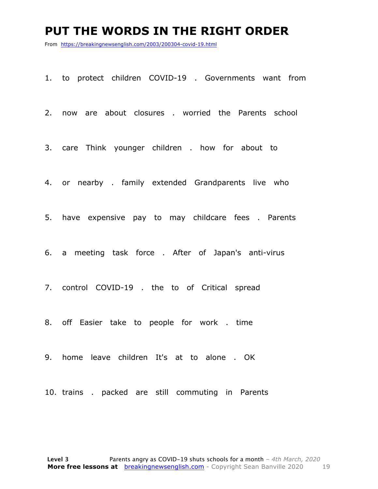#### **PUT THE WORDS IN THE RIGHT ORDER**

From https://breakingnewsenglish.com/2003/200304-covid-19.html

1. to protect children COVID-19 . Governments want from

2. now are about closures . worried the Parents school

3. care Think younger children . how for about to

4. or nearby . family extended Grandparents live who

5. have expensive pay to may childcare fees . Parents

6. a meeting task force . After of Japan's anti-virus

7. control COVID-19 . the to of Critical spread

8. off Easier take to people for work . time

9. home leave children It's at to alone . OK

10. trains . packed are still commuting in Parents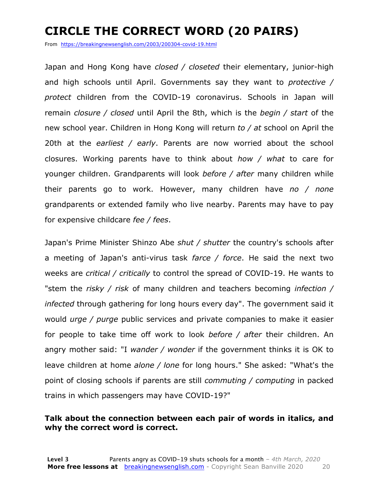### **CIRCLE THE CORRECT WORD (20 PAIRS)**

From https://breakingnewsenglish.com/2003/200304-covid-19.html

Japan and Hong Kong have *closed / closeted* their elementary, junior-high and high schools until April. Governments say they want to *protective / protect* children from the COVID-19 coronavirus. Schools in Japan will remain *closure / closed* until April the 8th, which is the *begin / start* of the new school year. Children in Hong Kong will return *to / at* school on April the 20th at the *earliest / early*. Parents are now worried about the school closures. Working parents have to think about *how / what* to care for younger children. Grandparents will look *before / after* many children while their parents go to work. However, many children have *no / none* grandparents or extended family who live nearby. Parents may have to pay for expensive childcare *fee / fees*.

Japan's Prime Minister Shinzo Abe *shut / shutter* the country's schools after a meeting of Japan's anti-virus task *farce / force*. He said the next two weeks are *critical / critically* to control the spread of COVID-19. He wants to "stem the *risky / risk* of many children and teachers becoming *infection / infected* through gathering for long hours every day". The government said it would *urge / purge* public services and private companies to make it easier for people to take time off work to look *before / after* their children. An angry mother said: "I *wander / wonder* if the government thinks it is OK to leave children at home *alone / lone* for long hours." She asked: "What's the point of closing schools if parents are still *commuting / computing* in packed trains in which passengers may have COVID-19?"

#### **Talk about the connection between each pair of words in italics, and why the correct word is correct.**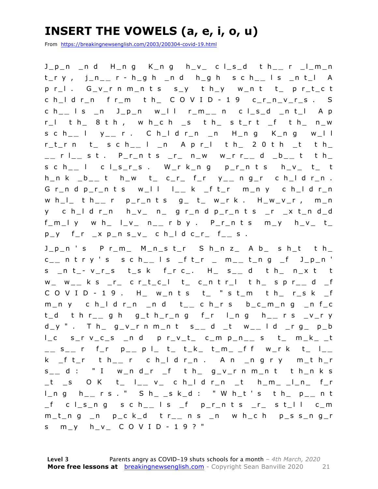### **INSERT THE VOWELS (a, e, i, o, u)**

From https://breakingnewsenglish.com/2003/200304-covid-19.html

J\_p\_n \_n d H\_n g K\_n g h\_v\_ c l\_s\_d t h\_ **\_** r \_l\_m\_n t\_r y , j\_n\_ **\_** r - h\_g h \_n d h\_g h s c h\_ **\_** l s \_n t\_l A p r\_l . G\_v\_r n m\_n t s s\_y t h\_y w\_n t t\_ p r\_t\_c t c h\_l d r\_n f r\_m t h\_ C O V I D - 1 9 c\_r\_n\_v\_r\_s . S c h\_ **\_** l s \_n J\_p\_n w\_l l r\_m\_ **\_** n c l\_s\_d \_n t\_l A p r\_l t h\_ 8 t h , w h\_c h \_s t h\_ s t\_r t \_f t h\_ n\_w s c h\_ **\_** l y\_ **\_** r . C h\_l d r\_n \_n H\_n g K\_n g w\_l l r\_t\_r n t\_ s c h\_ **\_** l \_n A p r\_l t h\_ 2 0 t h \_t t h\_ \_ **\_** r l\_ **\_** s t . P\_r\_n t s \_r\_ n\_w w\_r r\_ **\_** d \_b\_ **\_** t t h\_ s c h\_ **\_** l c l\_s\_r\_s . W\_r k\_n g p\_r\_n t s h\_v\_ t\_ t h\_n k \_b\_ **\_** t h\_w t\_ c\_r\_ f\_r y\_ **\_** n g\_r c h\_l d r\_n . G r\_n d p\_r\_n t s w\_l l l\_ **\_** k \_f t\_r m\_n y c h\_l d r\_n w h\_l\_ t h\_ **\_** r p\_r\_n t s g\_ t\_ w\_r k . H\_w\_v\_r , m\_n y c h\_l d r\_n h\_v\_ n\_ g r\_n d p\_r\_n t s \_r \_x t\_n d\_d f\_m\_l y w h\_ l\_v\_ n\_ **\_** r b y . P\_r\_n t s m\_y h\_v\_ t\_  $p_y$  f\_r  $_x p_n s_v$  c h\_l d c\_r f\_ s.

Jpn's Prm Mnstr Shnz Ab sht th c \_ **\_** n t r y ' s s c h\_ **\_** l s \_f t\_r \_ m\_ **\_** t\_n g \_f J\_p\_n ' s \_n t\_ - v\_r\_s t\_s k f\_r c\_. H\_ s\_ **\_** d t h\_ n\_x t t w\_ w\_ **\_** k s \_r\_ c r\_t\_c\_l t\_ c\_n t r\_l t h\_ s p r\_ **\_** d \_f C O V I D - 1 9 . H\_ w\_n t s t\_ " s t\_m t h\_ r\_s k \_f m\_n y c h\_l d r\_n \_n d t\_ **\_** c h\_r s b\_c\_m\_n g \_n f\_c t\_d t h r\_ **\_** g h g\_t h\_r\_n g f\_r l\_n g h\_ **\_** r s \_v\_r y d\_y " . T h\_ g\_v\_r n m\_n t s \_ **\_** d \_t w\_ **\_** l d \_r g\_ p\_b l\_c s\_r v\_c\_s \_n d p r\_v\_t\_ c\_m p\_n\_ **\_** s t\_ m\_k\_ \_t \_ **\_** s \_ **\_** r f\_r p\_ **\_** p l\_ t\_ t\_k\_ t\_m\_ \_f f w\_r k t\_ l\_ **\_**  k \_f t\_r t h\_ **\_** r c h\_l d r\_n . A n \_n g r y m\_t h\_r s \_ **\_** d : " I w\_n d\_r \_f t h\_ g\_v\_r n m\_n t t h\_n k s \_t \_s O K t\_ l\_ **\_** v\_ c h\_l d r\_n \_t h\_m\_ \_l\_n\_ f\_r l\_n g h\_ **\_** r s . " S h\_ \_s k\_d : " W h\_t ' s t h\_ p\_ **\_** n t \_f c l\_s\_n g s c h\_ **\_** l s \_f p\_r\_n t s \_r\_ s t\_l l c\_m m\_t\_n g \_n p\_c k\_d t r\_ **\_** n s \_n w h\_c h p\_s s\_n g\_r s m\_y h\_v\_ C O V I D - 1 9 ? "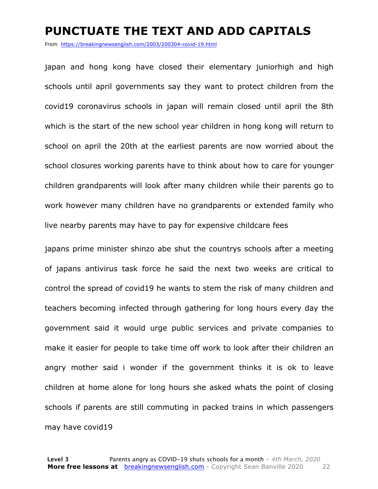#### **PUNCTUATE THE TEXT AND ADD CAPITALS**

From https://breakingnewsenglish.com/2003/200304-covid-19.html

japan and hong kong have closed their elementary juniorhigh and high schools until april governments say they want to protect children from the covid19 coronavirus schools in japan will remain closed until april the 8th which is the start of the new school year children in hong kong will return to school on april the 20th at the earliest parents are now worried about the school closures working parents have to think about how to care for younger children grandparents will look after many children while their parents go to work however many children have no grandparents or extended family who live nearby parents may have to pay for expensive childcare fees

japans prime minister shinzo abe shut the countrys schools after a meeting of japans antivirus task force he said the next two weeks are critical to control the spread of covid19 he wants to stem the risk of many children and teachers becoming infected through gathering for long hours every day the government said it would urge public services and private companies to make it easier for people to take time off work to look after their children an angry mother said i wonder if the government thinks it is ok to leave children at home alone for long hours she asked whats the point of closing schools if parents are still commuting in packed trains in which passengers may have covid19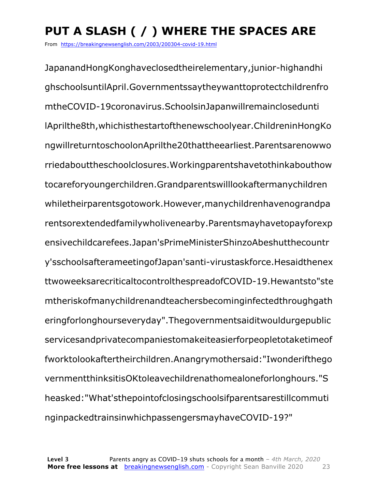# **PUT A SLASH ( / ) WHERE THE SPACES ARE**

From https://breakingnewsenglish.com/2003/200304-covid-19.html

JapanandHongKonghaveclosedtheirelementary,junior-highandhi ghschoolsuntilApril.Governmentssaytheywanttoprotectchildrenfro mtheCOVID-19coronavirus.SchoolsinJapanwillremainclosedunti lAprilthe8th,whichisthestartofthenewschoolyear.ChildreninHongKo ngwillreturntoschoolonAprilthe20thattheearliest.Parentsarenowwo rriedabouttheschoolclosures.Workingparentshavetothinkabouthow tocareforyoungerchildren.Grandparentswilllookaftermanychildren whiletheirparentsgotowork.However,manychildrenhavenograndpa rentsorextendedfamilywholivenearby.Parentsmayhavetopayforexp ensivechildcarefees.Japan'sPrimeMinisterShinzoAbeshutthecountr y'sschoolsafterameetingofJapan'santi-virustaskforce.Hesaidthenex ttwoweeksarecriticaltocontrolthespreadofCOVID-19.Hewantsto"ste mtheriskofmanychildrenandteachersbecominginfectedthroughgath eringforlonghourseveryday".Thegovernmentsaiditwouldurgepublic servicesandprivatecompaniestomakeiteasierforpeopletotaketimeof fworktolookaftertheirchildren.Anangrymothersaid:"Iwonderifthego vernmentthinksitisOKtoleavechildrenathomealoneforlonghours."S heasked:"What'sthepointofclosingschoolsifparentsarestillcommuti nginpackedtrainsinwhichpassengersmayhaveCOVID-19?"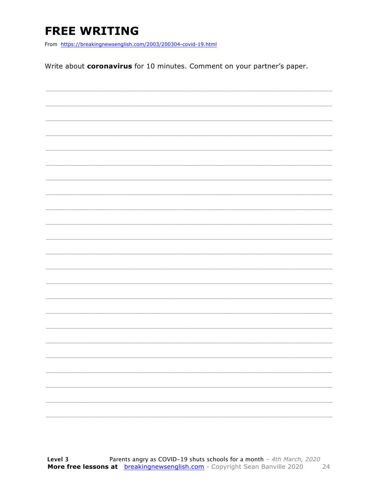### **FREE WRITING**

From https://breakingnewsenglish.com/2003/200304-covid-19.html

Write about coronavirus for 10 minutes. Comment on your partner's paper.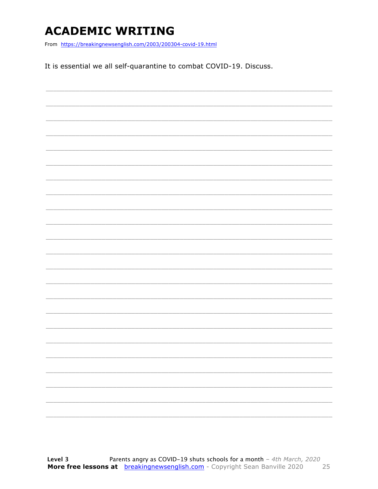### **ACADEMIC WRITING**

From https://breakingnewsenglish.com/2003/200304-covid-19.html

It is essential we all self-quarantine to combat COVID-19. Discuss.

|  |  | ____ |
|--|--|------|
|  |  |      |
|  |  |      |
|  |  |      |
|  |  |      |
|  |  |      |
|  |  |      |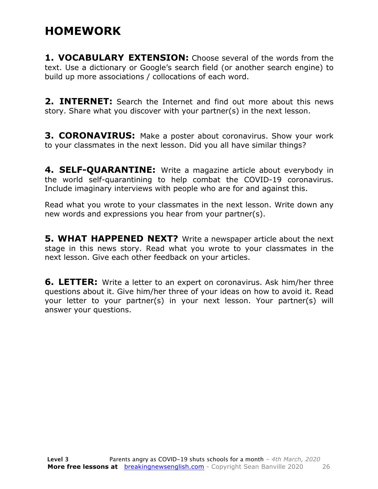### **HOMEWORK**

**1. VOCABULARY EXTENSION:** Choose several of the words from the text. Use a dictionary or Google's search field (or another search engine) to build up more associations / collocations of each word.

**2. INTERNET:** Search the Internet and find out more about this news story. Share what you discover with your partner(s) in the next lesson.

**3. CORONAVIRUS:** Make a poster about coronavirus. Show your work to your classmates in the next lesson. Did you all have similar things?

**4. SELF-QUARANTINE:** Write a magazine article about everybody in the world self-quarantining to help combat the COVID-19 coronavirus. Include imaginary interviews with people who are for and against this.

Read what you wrote to your classmates in the next lesson. Write down any new words and expressions you hear from your partner(s).

**5. WHAT HAPPENED NEXT?** Write a newspaper article about the next stage in this news story. Read what you wrote to your classmates in the next lesson. Give each other feedback on your articles.

**6. LETTER:** Write a letter to an expert on coronavirus. Ask him/her three questions about it. Give him/her three of your ideas on how to avoid it. Read your letter to your partner(s) in your next lesson. Your partner(s) will answer your questions.